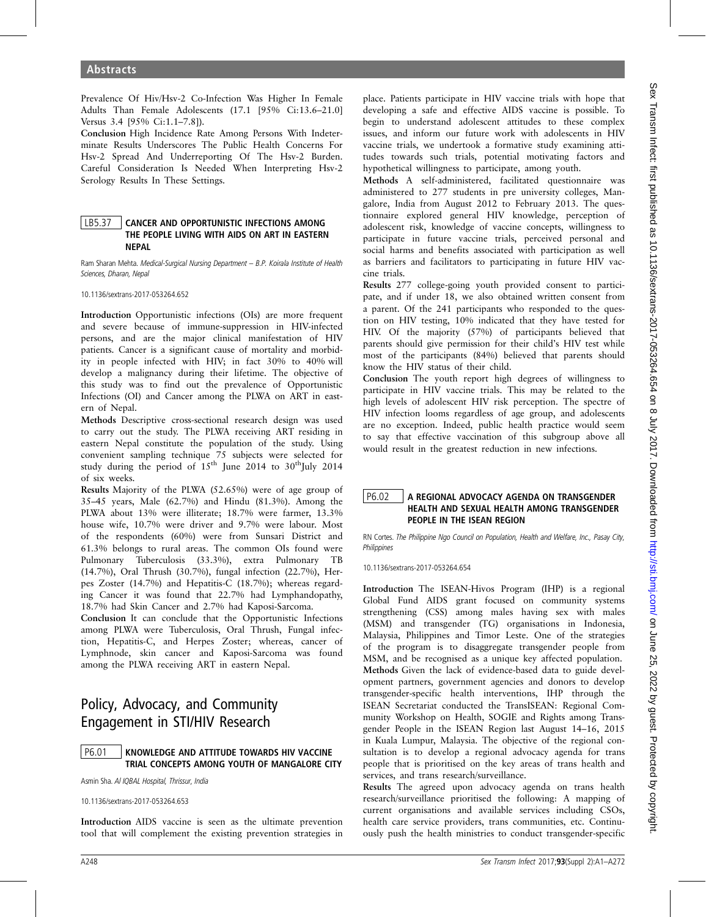Prevalence Of Hiv/Hsv-2 Co-Infection Was Higher In Female Adults Than Female Adolescents (17.1 [95% Ci:13.6–21.0] Versus 3.4 [95% Ci:1.1–7.8]).

Conclusion High Incidence Rate Among Persons With Indeterminate Results Underscores The Public Health Concerns For Hsv-2 Spread And Underreporting Of The Hsv-2 Burden. Careful Consideration Is Needed When Interpreting Hsv-2 Serology Results In These Settings.

# LB5.37 CANCER AND OPPORTUNISTIC INFECTIONS AMONG THE PEOPLE LIVING WITH AIDS ON ART IN EASTERN NEPAL

Ram Sharan Mehta. Medical-Surgical Nursing Department – B.P. Koirala Institute of Health Sciences, Dharan, Nepal

10.1136/sextrans-2017-053264.652

Introduction Opportunistic infections (OIs) are more frequent and severe because of immune-suppression in HIV-infected persons, and are the major clinical manifestation of HIV patients. Cancer is a significant cause of mortality and morbidity in people infected with HIV; in fact 30% to 40% will develop a malignancy during their lifetime. The objective of this study was to find out the prevalence of Opportunistic Infections (OI) and Cancer among the PLWA on ART in eastern of Nepal.

Methods Descriptive cross-sectional research design was used to carry out the study. The PLWA receiving ART residing in eastern Nepal constitute the population of the study. Using convenient sampling technique 75 subjects were selected for study during the period of  $15<sup>th</sup>$  June 2014 to 30<sup>th</sup>July 2014 of six weeks.

Results Majority of the PLWA (52.65%) were of age group of 35–45 years, Male (62.7%) and Hindu (81.3%). Among the PLWA about 13% were illiterate; 18.7% were farmer, 13.3% house wife, 10.7% were driver and 9.7% were labour. Most of the respondents (60%) were from Sunsari District and 61.3% belongs to rural areas. The common OIs found were Pulmonary Tuberculosis (33.3%), extra Pulmonary TB (14.7%), Oral Thrush (30.7%), fungal infection (22.7%), Herpes Zoster (14.7%) and Hepatitis-C (18.7%); whereas regarding Cancer it was found that 22.7% had Lymphandopathy, 18.7% had Skin Cancer and 2.7% had Kaposi-Sarcoma.

Conclusion It can conclude that the Opportunistic Infections among PLWA were Tuberculosis, Oral Thrush, Fungal infection, Hepatitis-C, and Herpes Zoster; whereas, cancer of Lymphnode, skin cancer and Kaposi-Sarcoma was found among the PLWA receiving ART in eastern Nepal.

# Policy, Advocacy, and Community Engagement in STI/HIV Research

# P6.01 KNOWLEDGE AND ATTITUDE TOWARDS HIV VACCINE TRIAL CONCEPTS AMONG YOUTH OF MANGALORE CITY

Asmin Sha. Al IQBAL Hospital, Thrissur, India

10.1136/sextrans-2017-053264.653

Introduction AIDS vaccine is seen as the ultimate prevention tool that will complement the existing prevention strategies in

place. Patients participate in HIV vaccine trials with hope that developing a safe and effective AIDS vaccine is possible. To begin to understand adolescent attitudes to these complex issues, and inform our future work with adolescents in HIV vaccine trials, we undertook a formative study examining attitudes towards such trials, potential motivating factors and hypothetical willingness to participate, among youth.

Methods A self-administered, facilitated questionnaire was administered to 277 students in pre university colleges, Mangalore, India from August 2012 to February 2013. The questionnaire explored general HIV knowledge, perception of adolescent risk, knowledge of vaccine concepts, willingness to participate in future vaccine trials, perceived personal and social harms and benefits associated with participation as well as barriers and facilitators to participating in future HIV vaccine trials.

Results 277 college-going youth provided consent to participate, and if under 18, we also obtained written consent from a parent. Of the 241 participants who responded to the question on HIV testing, 10% indicated that they have tested for HIV. Of the majority (57%) of participants believed that parents should give permission for their child's HIV test while most of the participants (84%) believed that parents should know the HIV status of their child.

Conclusion The youth report high degrees of willingness to participate in HIV vaccine trials. This may be related to the high levels of adolescent HIV risk perception. The spectre of HIV infection looms regardless of age group, and adolescents are no exception. Indeed, public health practice would seem to say that effective vaccination of this subgroup above all would result in the greatest reduction in new infections.

# P6.02 A REGIONAL ADVOCACY AGENDA ON TRANSGENDER HEALTH AND SEXUAL HEALTH AMONG TRANSGENDER PEOPLE IN THE ISEAN REGION

RN Cortes. The Philippine Ngo Council on Population, Health and Welfare, Inc., Pasay City, **Philippines** 

10.1136/sextrans-2017-053264.654

Introduction The ISEAN-Hivos Program (IHP) is a regional Global Fund AIDS grant focused on community systems strengthening (CSS) among males having sex with males (MSM) and transgender (TG) organisations in Indonesia, Malaysia, Philippines and Timor Leste. One of the strategies of the program is to disaggregate transgender people from MSM, and be recognised as a unique key affected population. Methods Given the lack of evidence-based data to guide development partners, government agencies and donors to develop transgender-specific health interventions, IHP through the ISEAN Secretariat conducted the TransISEAN: Regional Community Workshop on Health, SOGIE and Rights among Transgender People in the ISEAN Region last August 14–16, 2015 in Kuala Lumpur, Malaysia. The objective of the regional consultation is to develop a regional advocacy agenda for trans people that is prioritised on the key areas of trans health and services, and trans research/surveillance.

Results The agreed upon advocacy agenda on trans health research/surveillance prioritised the following: A mapping of current organisations and available services including CSOs, health care service providers, trans communities, etc. Continuously push the health ministries to conduct transgender-specific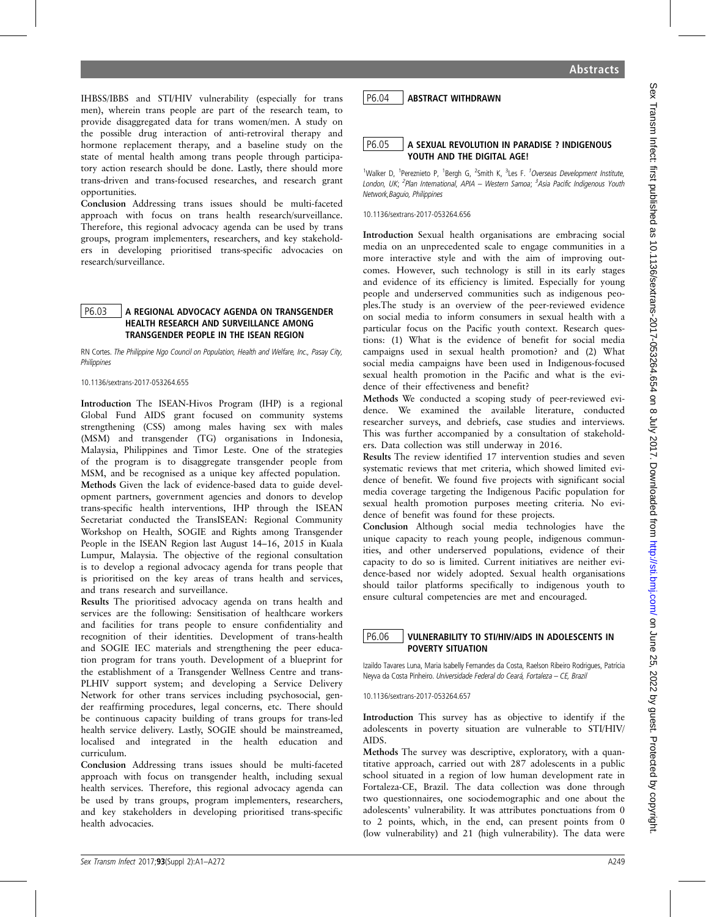IHBSS/IBBS and STI/HIV vulnerability (especially for trans men), wherein trans people are part of the research team, to provide disaggregated data for trans women/men. A study on the possible drug interaction of anti-retroviral therapy and hormone replacement therapy, and a baseline study on the state of mental health among trans people through participatory action research should be done. Lastly, there should more trans-driven and trans-focused researches, and research grant opportunities.

Conclusion Addressing trans issues should be multi-faceted approach with focus on trans health research/surveillance. Therefore, this regional advocacy agenda can be used by trans groups, program implementers, researchers, and key stakeholders in developing prioritised trans-specific advocacies on research/surveillance.

#### P6.03 A REGIONAL ADVOCACY AGENDA ON TRANSGENDER HEALTH RESEARCH AND SURVEILLANCE AMONG TRANSGENDER PEOPLE IN THE ISEAN REGION

RN Cortes. The Philippine Ngo Council on Population, Health and Welfare, Inc., Pasay City, **Philippines** 

10.1136/sextrans-2017-053264.655

Introduction The ISEAN-Hivos Program (IHP) is a regional Global Fund AIDS grant focused on community systems strengthening (CSS) among males having sex with males (MSM) and transgender (TG) organisations in Indonesia, Malaysia, Philippines and Timor Leste. One of the strategies of the program is to disaggregate transgender people from MSM, and be recognised as a unique key affected population. Methods Given the lack of evidence-based data to guide development partners, government agencies and donors to develop trans-specific health interventions, IHP through the ISEAN Secretariat conducted the TransISEAN: Regional Community Workshop on Health, SOGIE and Rights among Transgender People in the ISEAN Region last August 14–16, 2015 in Kuala Lumpur, Malaysia. The objective of the regional consultation is to develop a regional advocacy agenda for trans people that is prioritised on the key areas of trans health and services, and trans research and surveillance.

Results The prioritised advocacy agenda on trans health and services are the following: Sensitisation of healthcare workers and facilities for trans people to ensure confidentiality and recognition of their identities. Development of trans-health and SOGIE IEC materials and strengthening the peer education program for trans youth. Development of a blueprint for the establishment of a Transgender Wellness Centre and trans-PLHIV support system; and developing a Service Delivery Network for other trans services including psychosocial, gender reaffirming procedures, legal concerns, etc. There should be continuous capacity building of trans groups for trans-led health service delivery. Lastly, SOGIE should be mainstreamed, localised and integrated in the health education and curriculum.

Conclusion Addressing trans issues should be multi-faceted approach with focus on transgender health, including sexual health services. Therefore, this regional advocacy agenda can be used by trans groups, program implementers, researchers, and key stakeholders in developing prioritised trans-specific health advocacies.

# P6.04 ABSTRACT WITHDRAWN

# P6.05 A SEXUAL REVOLUTION IN PARADISE ? INDIGENOUS YOUTH AND THE DIGITAL AGE!

<sup>1</sup>Walker D, <sup>1</sup>Pereznieto P, <sup>1</sup>Bergh G, <sup>2</sup>Smith K, <sup>3</sup>Les F. <sup>1</sup>Overseas Development Institute, London, UK; <sup>2</sup>Plan International, APIA — Western Samoa; <sup>3</sup>Asia Pacific Indigenous Youth Network,Baguio, Philippines

#### 10.1136/sextrans-2017-053264.656

Introduction Sexual health organisations are embracing social media on an unprecedented scale to engage communities in a more interactive style and with the aim of improving outcomes. However, such technology is still in its early stages and evidence of its efficiency is limited. Especially for young people and underserved communities such as indigenous peoples.The study is an overview of the peer-reviewed evidence on social media to inform consumers in sexual health with a particular focus on the Pacific youth context. Research questions: (1) What is the evidence of benefit for social media campaigns used in sexual health promotion? and (2) What social media campaigns have been used in Indigenous-focused sexual health promotion in the Pacific and what is the evidence of their effectiveness and benefit?

Methods We conducted a scoping study of peer-reviewed evidence. We examined the available literature, conducted researcher surveys, and debriefs, case studies and interviews. This was further accompanied by a consultation of stakeholders. Data collection was still underway in 2016.

Results The review identified 17 intervention studies and seven systematic reviews that met criteria, which showed limited evidence of benefit. We found five projects with significant social media coverage targeting the Indigenous Pacific population for sexual health promotion purposes meeting criteria. No evidence of benefit was found for these projects.

Conclusion Although social media technologies have the unique capacity to reach young people, indigenous communities, and other underserved populations, evidence of their capacity to do so is limited. Current initiatives are neither evidence-based nor widely adopted. Sexual health organisations should tailor platforms specifically to indigenous youth to ensure cultural competencies are met and encouraged.

#### P6.06 VULNERABILITY TO STI/HIV/AIDS IN ADOLESCENTS IN POVERTY SITUATION

Izaildo Tavares Luna, Maria Isabelly Fernandes da Costa, Raelson Ribeiro Rodrigues, Patrícia Neyva da Costa Pinheiro. Universidade Federal do Ceará, Fortaleza – CE, Brazil

10.1136/sextrans-2017-053264.657

Introduction This survey has as objective to identify if the adolescents in poverty situation are vulnerable to STI/HIV/ AIDS.

Methods The survey was descriptive, exploratory, with a quantitative approach, carried out with 287 adolescents in a public school situated in a region of low human development rate in Fortaleza-CE, Brazil. The data collection was done through two questionnaires, one sociodemographic and one about the adolescents' vulnerability. It was attributes ponctuations from 0 to 2 points, which, in the end, can present points from 0 (low vulnerability) and 21 (high vulnerability). The data were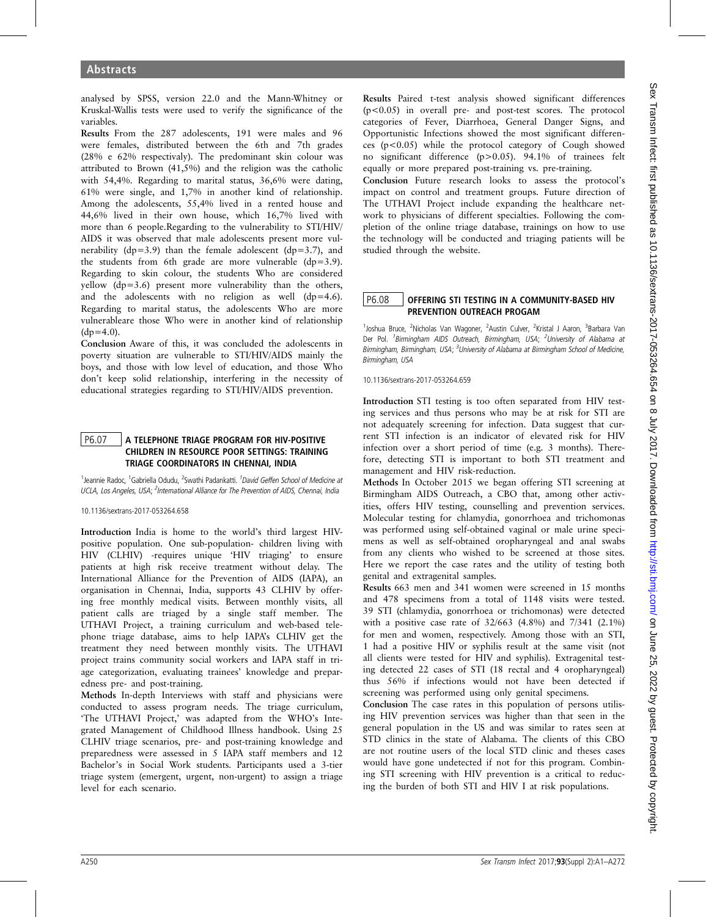analysed by SPSS, version 22.0 and the Mann-Whitney or Kruskal-Wallis tests were used to verify the significance of the variables.

Results From the 287 adolescents, 191 were males and 96 were females, distributed between the 6th and 7th grades (28% e 62% respectivaly). The predominant skin colour was attributed to Brown (41,5%) and the religion was the catholic with 54,4%. Regarding to marital status, 36,6% were dating, 61% were single, and 1,7% in another kind of relationship. Among the adolescents, 55,4% lived in a rented house and 44,6% lived in their own house, which 16,7% lived with more than 6 people.Regarding to the vulnerability to STI/HIV/ AIDS it was observed that male adolescents present more vulnerability ( $dp=3.9$ ) than the female adolescent ( $dp=3.7$ ), and the students from 6th grade are more vulnerable (dp=3.9). Regarding to skin colour, the students Who are considered yellow (dp=3.6) present more vulnerability than the others, and the adolescents with no religion as well (dp=4.6). Regarding to marital status, the adolescents Who are more vulnerableare those Who were in another kind of relationship  $(dp=4.0)$ .

Conclusion Aware of this, it was concluded the adolescents in poverty situation are vulnerable to STI/HIV/AIDS mainly the boys, and those with low level of education, and those Who don't keep solid relationship, interfering in the necessity of educational strategies regarding to STI/HIV/AIDS prevention.

# P6.07 A TELEPHONE TRIAGE PROGRAM FOR HIV-POSITIVE CHILDREN IN RESOURCE POOR SETTINGS: TRAINING TRIAGE COORDINATORS IN CHENNAI, INDIA

<sup>1</sup>Jeannie Radoc, <sup>1</sup>Gabriella Odudu, <sup>2</sup>Swathi Padankatti. <sup>1</sup>David Geffen School of Medicine at UCLA, Los Angeles, USA; <sup>2</sup>International Alliance for The Prevention of AIDS, Chennai, India

#### 10.1136/sextrans-2017-053264.658

Introduction India is home to the world's third largest HIVpositive population. One sub-population- children living with HIV (CLHIV) -requires unique 'HIV triaging' to ensure patients at high risk receive treatment without delay. The International Alliance for the Prevention of AIDS (IAPA), an organisation in Chennai, India, supports 43 CLHIV by offering free monthly medical visits. Between monthly visits, all patient calls are triaged by a single staff member. The UTHAVI Project, a training curriculum and web-based telephone triage database, aims to help IAPA's CLHIV get the treatment they need between monthly visits. The UTHAVI project trains community social workers and IAPA staff in triage categorization, evaluating trainees' knowledge and preparedness pre- and post-training.

Methods In-depth Interviews with staff and physicians were conducted to assess program needs. The triage curriculum, 'The UTHAVI Project,' was adapted from the WHO's Integrated Management of Childhood Illness handbook. Using 25 CLHIV triage scenarios, pre- and post-training knowledge and preparedness were assessed in 5 IAPA staff members and 12 Bachelor's in Social Work students. Participants used a 3-tier triage system (emergent, urgent, non-urgent) to assign a triage level for each scenario.

Results Paired t-test analysis showed significant differences (p<0.05) in overall pre- and post-test scores. The protocol categories of Fever, Diarrhoea, General Danger Signs, and Opportunistic Infections showed the most significant differences (p<0.05) while the protocol category of Cough showed no significant difference (p>0.05). 94.1% of trainees felt equally or more prepared post-training vs. pre-training.

Conclusion Future research looks to assess the protocol's impact on control and treatment groups. Future direction of The UTHAVI Project include expanding the healthcare network to physicians of different specialties. Following the completion of the online triage database, trainings on how to use the technology will be conducted and triaging patients will be studied through the website.

# P6.08 | OFFERING STI TESTING IN A COMMUNITY-BASED HIV PREVENTION OUTREACH PROGAM

<sup>1</sup>Joshua Bruce, <sup>2</sup>Nicholas Van Wagoner, <sup>2</sup>Austin Culver, <sup>2</sup>Kristal J Aaron, <sup>3</sup>Barbara Van Der Pol. <sup>1</sup> Birmingham AIDS Outreach, Birmingham, USA; <sup>2</sup> University of Alabama at Birmingham, Birmingham, USA; <sup>3</sup>University of Alabama at Birmingham School of Medicine, Birmingham, USA

10.1136/sextrans-2017-053264.659

Introduction STI testing is too often separated from HIV testing services and thus persons who may be at risk for STI are not adequately screening for infection. Data suggest that current STI infection is an indicator of elevated risk for HIV infection over a short period of time (e.g. 3 months). Therefore, detecting STI is important to both STI treatment and management and HIV risk-reduction.

Methods In October 2015 we began offering STI screening at Birmingham AIDS Outreach, a CBO that, among other activities, offers HIV testing, counselling and prevention services. Molecular testing for chlamydia, gonorrhoea and trichomonas was performed using self-obtained vaginal or male urine specimens as well as self-obtained oropharyngeal and anal swabs from any clients who wished to be screened at those sites. Here we report the case rates and the utility of testing both genital and extragenital samples.

Results 663 men and 341 women were screened in 15 months and 478 specimens from a total of 1148 visits were tested. 39 STI (chlamydia, gonorrhoea or trichomonas) were detected with a positive case rate of 32/663 (4.8%) and 7/341 (2.1%) for men and women, respectively. Among those with an STI, 1 had a positive HIV or syphilis result at the same visit (not all clients were tested for HIV and syphilis). Extragenital testing detected 22 cases of STI (18 rectal and 4 oropharyngeal) thus 56% if infections would not have been detected if screening was performed using only genital specimens.

Conclusion The case rates in this population of persons utilising HIV prevention services was higher than that seen in the general population in the US and was similar to rates seen at STD clinics in the state of Alabama. The clients of this CBO are not routine users of the local STD clinic and theses cases would have gone undetected if not for this program. Combining STI screening with HIV prevention is a critical to reducing the burden of both STI and HIV I at risk populations.